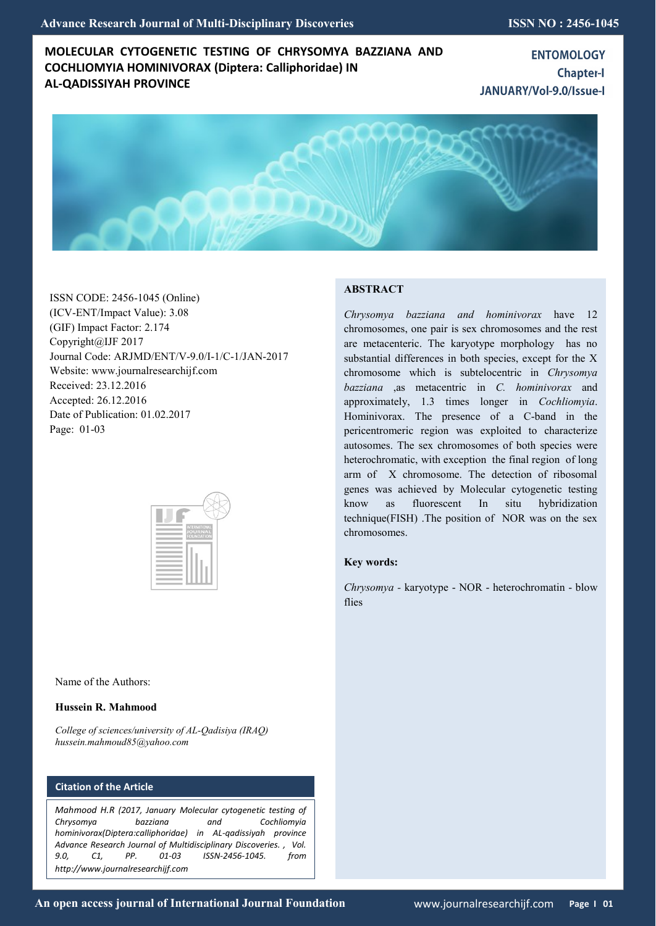# **MOLECULAR CYTOGENETIC TESTING OF CHRYSOMYA BAZZIANA AND COCHLIOMYIA HOMINIVORAX (Diptera: Calliphoridae) IN AL-QADISSIYAH PROVINCE**

**ENTOMOLOGY Chapter-I** JANUARY/Vol-9.0/Issue-I



ISSN CODE: 2456-1045 (Online) (ICV-ENT/Impact Value): 3.08 (GIF) Impact Factor: 2.174 Copyright@IJF 2017 Journal Code: ARJMD/ENT/V-9.0/I-1/C-1/JAN-2017 Website: www.journalresearchijf.com Received: 23.12.2016 Accepted: 26.12.2016 Date of Publication: 01.02.2017 Page: 01-03



Name of the Authors:

## **Hussein R. Mahmood**

*College of sciences/university of AL-Qadisiya (IRAQ) hussein.mahmoud85@yahoo.com*

## **Citation of the Article**

*Mahmood H.R (2017, January Molecular cytogenetic testing of Chrysomya bazziana and Cochliomyia hominivorax(Diptera:calliphoridae) in AL-qadissiyah province Advance Research Journal of Multidisciplinary Discoveries. , Vol. 9.0, C1, PP. 01-03 ISSN-2456-1045. from http://www.journalresearchijf.com***e**

## **ABSTRACT**

*Chrysomya bazziana and hominivorax* have 12 chromosomes, one pair is sex chromosomes and the rest are metacenteric. The karyotype morphology has no substantial differences in both species, except for the X chromosome which is subtelocentric in *Chrysomya bazziana* ,as metacentric in *C. hominivorax* and approximately, 1.3 times longer in *Cochliomyia*. Hominivorax. The presence of a C-band in the pericentromeric region was exploited to characterize autosomes. The sex chromosomes of both species were heterochromatic, with exception the final region of long arm of X chromosome. The detection of ribosomal genes was achieved by Molecular cytogenetic testing know as fluorescent In situ hybridization technique(FISH) .The position of NOR was on the sex chromosomes.

## **Key words:**

*Chrysomya -* karyotype - NOR - heterochromatin - blow flies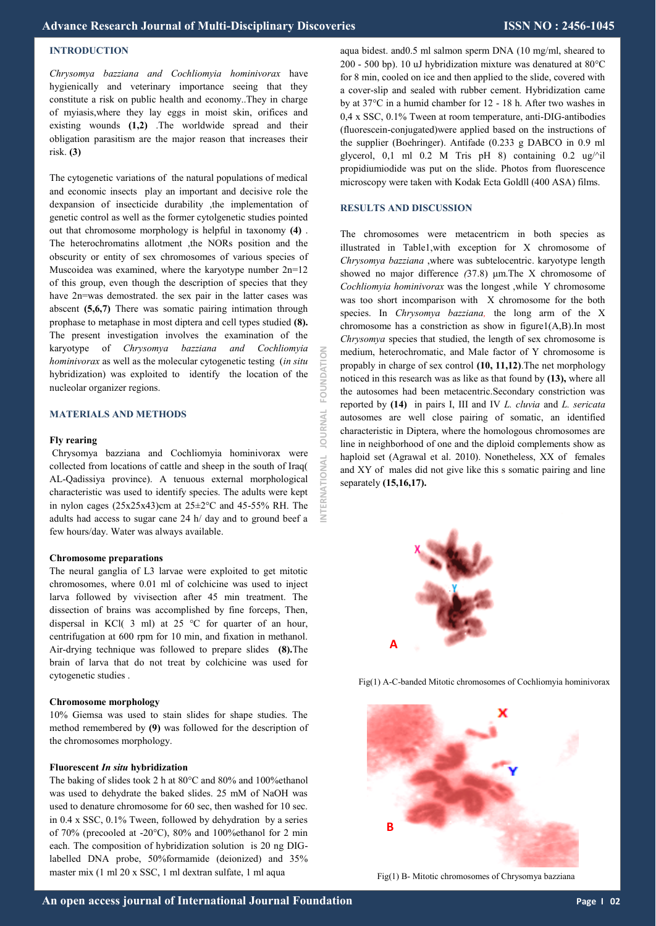## **INTRODUCTION**

*Chrysomya bazziana and Cochliomyia hominivorax* have hygienically and veterinary importance seeing that they constitute a risk on public health and economy..They in charge of myiasis,where they lay eggs in moist skin, orifices and existing wounds **(1,2)** .The worldwide spread and their obligation parasitism are the major reason that increases their risk. **(3)**

The cytogenetic variations of the natural populations of medical and economic insects play an important and decisive role the dexpansion of insecticide durability ,the implementation of genetic control as well as the former cytolgenetic studies pointed out that chromosome morphology is helpful in taxonomy **(4)** . The heterochromatins allotment ,the NORs position and the obscurity or entity of sex chromosomes of various species of Muscoidea was examined, where the karyotype number 2n=12 of this group, even though the description of species that they have 2n=was demostrated, the sex pair in the latter cases was abscent **(5,6,7)** There was somatic pairing intimation through prophase to metaphase in most diptera and cell types studied **(8).** The present investigation involves the examination of the karyotype of *Chrysomya bazziana and Cochliomyia hominivorax* as well as the molecular cytogenetic testing (*in situ* hybridization) was exploited to identify the location of the nucleolar organizer regions.

### **MATERIALS AND METHODS**

#### **Fly rearing**

Chrysomya bazziana and Cochliomyia hominivorax were collected from locations of cattle and sheep in the south of Iraq( AL-Qadissiya province). A tenuous external morphological characteristic was used to identify species. The adults were kept in nylon cages  $(25x25x43)$ cm at  $25\pm2$ °C and 45-55% RH. The adults had access to sugar cane 24 h/ day and to ground beef a few hours/day. Water was always available.

### **Chromosome preparations**

The neural ganglia of L3 larvae were exploited to get mitotic chromosomes, where 0.01 ml of colchicine was used to inject larva followed by vivisection after 45 min treatment. The dissection of brains was accomplished by fine forceps, Then, dispersal in KCl( 3 ml) at 25 °C for quarter of an hour, centrifugation at 600 rpm for 10 min, and fixation in methanol. Air-drying technique was followed to prepare slides **(8).**The brain of larva that do not treat by colchicine was used for cytogenetic studies .

### **Chromosome morphology**

10% Giemsa was used to stain slides for shape studies. The method remembered by **(9)** was followed for the description of the chromosomes morphology.

#### **Fluorescent** *In situ* **hybridization**

The baking of slides took 2 h at 80°C and 80% and 100%ethanol was used to dehydrate the baked slides. 25 mM of NaOH was used to denature chromosome for 60 sec, then washed for 10 sec. in 0.4 x SSC, 0.1% Tween, followed by dehydration by a series of 70% (precooled at -20°C), 80% and 100%ethanol for 2 min each. The composition of hybridization solution is 20 ng DIGlabelled DNA probe, 50%formamide (deionized) and 35% master mix (1 ml 20 x SSC, 1 ml dextran sulfate, 1 ml aqua

aqua bidest. and0.5 ml salmon sperm DNA (10 mg/ml, sheared to 200 - 500 bp). 10 uJ hybridization mixture was denatured at 80°C for 8 min, cooled on ice and then applied to the slide, covered with a cover-slip and sealed with rubber cement. Hybridization came by at 37°C in a humid chamber for 12 - 18 h. After two washes in 0,4 x SSC, 0.1% Tween at room temperature, anti-DIG-antibodies (fluorescein-conjugated)were applied based on the instructions of the supplier (Boehringer). Antifade (0.233 g DABCO in 0.9 ml glycerol, 0,1 ml 0.2 M Tris pH 8) containing 0.2 ug/ $\dot{\sim}$ il propidiumiodide was put on the slide. Photos from fluorescence microscopy were taken with Kodak Ecta Goldll (400 ASA) films.

### **RESULTS AND DISCUSSION**

The chromosomes were metacentricm in both species as illustrated in Table1,with exception for X chromosome of *Chrysomya bazziana* ,where was subtelocentric. karyotype length showed no major difference *(*37.8) μm.The X chromosome of *Cochliomyia hominivorax* was the longest ,while Y chromosome was too short incomparison with X chromosome for the both species. In *Chrysomya bazziana,* the long arm of the X chromosome has a constriction as show in figure1(A,B).In most *Chrysomya* species that studied, the length of sex chromosome is medium, heterochromatic, and Male factor of Y chromosome is propably in charge of sex control **(10, 11,12)**.The net morphology noticed in this research was as like as that found by **(13),** where all the autosomes had been metacentric.Secondary constriction was reported by **(14)** in pairs I, III and IV *L. cluvia* and *L. sericata*  autosomes are well close pairing of somatic, an identified characteristic in Diptera, where the homologous chromosomes are line in neighborhood of one and the diploid complements show as haploid set (Agrawal et al. 2010). Nonetheless, XX of females and XY of males did not give like this s somatic pairing and line separately **(15,16,17).**



Fig(1) A-C-banded Mitotic chromosomes of Cochliomyia hominivorax



Fig(1) B- Mitotic chromosomes of Chrysomya bazziana